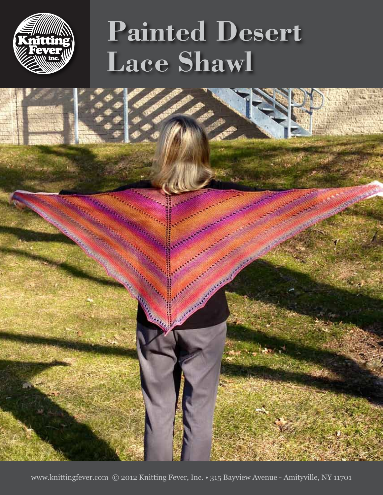

# **Painted Desert Lace Shawl**



www.knittingfever.com © 2012 Knitting Fever, Inc. • 315 Bayview Avenue - Amityville, NY 11701